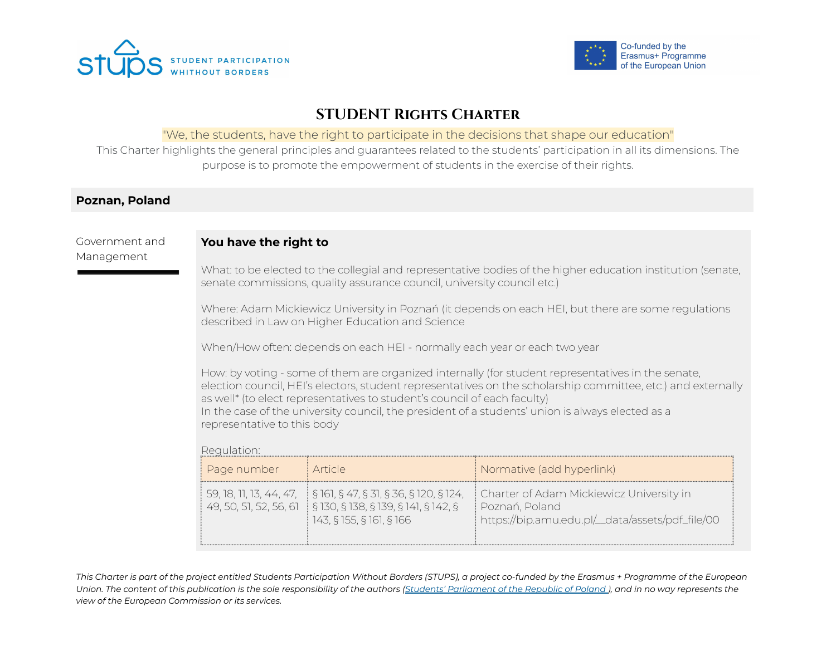



# **STUDENT Rights Charter**

#### "We, the students, have the right to participate in the decisions that shape our education"

This Charter highlights the general principles and guarantees related to the students' participation in all its dimensions. The purpose is to promote the empowerment of students in the exercise of their rights.

### **Poznan, Poland**

Government and Management

# **You have the right to**

What: to be elected to the collegial and representative bodies of the higher education institution (senate, senate commissions, quality assurance council, university council etc.)

Where: Adam Mickiewicz University in Poznań (it depends on each HEI, but there are some regulations described in Law on Higher Education and Science

When/How often: depends on each HEI - normally each year or each two year

How: by voting - some of them are organized internally (for student representatives in the senate, election council, HEI's electors, student representatives on the scholarship committee, etc.) and externally as well\* (to elect representatives to student's council of each faculty) In the case of the university council, the president of a students' union is always elected as a representative to this body

#### Regulation:

| Page number            | : Article                                                                                                                                                                    | Normative (add hyperlink)                                                                                       |
|------------------------|------------------------------------------------------------------------------------------------------------------------------------------------------------------------------|-----------------------------------------------------------------------------------------------------------------|
| 49, 50, 51, 52, 56, 61 | $\frac{1}{3}$ 59, 18, 11, 13, 44, 47, $\frac{1}{3}$ § 161, § 47, § 31, § 36, § 120, § 124,<br>$\frac{1}{2}$ § 130, § 138, § 139, § 141, § 142, §<br>143, § 155, § 161, § 166 | Charter of Adam Mickiewicz University in<br>i Poznań, Poland<br>https://bip.amu.edu.pl/_data/assets/pdf_file/00 |

This Charter is part of the project entitled Students Participation Without Borders (STUPS), a project co-funded by the Erasmus + Programme of the European Union. The content of this publication is the sole responsibility of the authors (Students' [Parliament](https://psrp.org.pl/) of the Republic of Poland), and in no way represents the *view of the European Commission or its services.*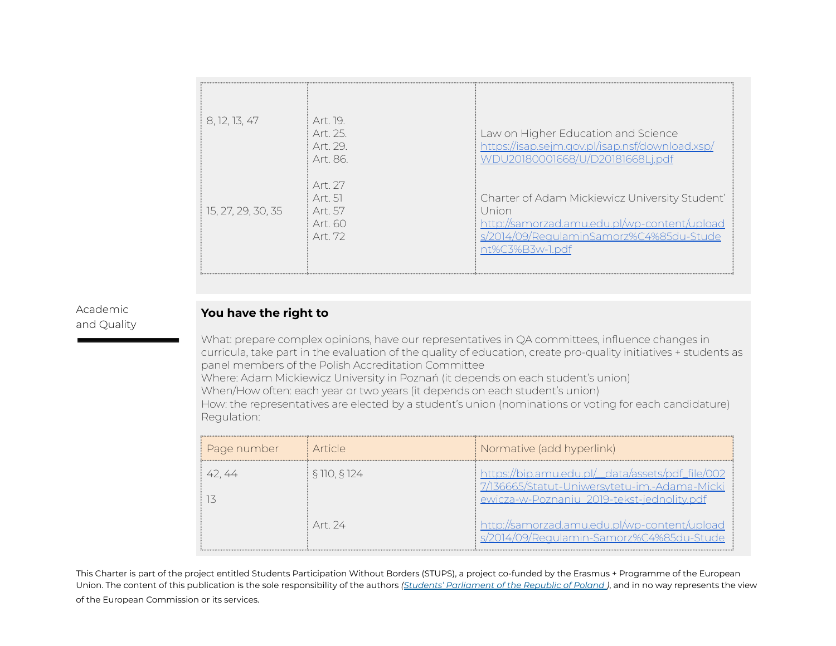| 8, 12, 13, 47      | Art 19<br>Art 25<br>Art 29<br>Art 86            | Law on Higher Education and Science<br>https://isap.sejm.gov.pl/isap.nsf/download.xsp/<br>WDU20180001668/U/D20181668Lj.pdf                                            |
|--------------------|-------------------------------------------------|-----------------------------------------------------------------------------------------------------------------------------------------------------------------------|
| 15, 27, 29, 30, 35 | Art. 27<br>Art 51<br>Art 57<br>Art 60<br>Art 72 | Charter of Adam Mickiewicz University Student'<br>Union<br>http://samorzad.amu.edu.pl/wp-content/upload<br>s/2014/09/RegulaminSamorz%C4%85du-Stude<br>nt%C3%B3w-1.pdf |

#### Academic and Quality

# **You have the right to**

What: prepare complex opinions, have our representatives in QA committees, influence changes in curricula, take part in the evaluation of the quality of education, create pro-quality initiatives + students as panel members of the Polish Accreditation Committee Where: Adam Mickiewicz University in Poznań (it depends on each student's union) When/How often: each year or two years (it depends on each student's union) How: the representatives are elected by a student's union (nominations or voting for each candidature) Regulation:

| Page number | i Article    | Normative (add hyperlink)                                                                                                                      |
|-------------|--------------|------------------------------------------------------------------------------------------------------------------------------------------------|
| 42.44       | § 110, § 124 | https://bip.amu.edu.pl/_data/assets/pdf_file/002<br>7/136665/Statut-Uniwersytetu-im.-Adama-Micki<br>ewicza-w-Poznaniu 2019-tekst-jednolity.pdf |
|             | Art 24       | http://samorzad.amu.edu.pl/wp-content/upload<br>s/2014/09/Regulamin-Samorz%C4%85du-Stude                                                       |

This Charter is part of the project entitled Students Participation Without Borders (STUPS), a project co-funded by the Erasmus + Programme of the European Union. The content of this publication is the sole responsibility of the authors *(Students' [Parliament](https://psrp.org.pl/) of the Republic of Poland )*, and in no way represents the view of the European Commission or its services.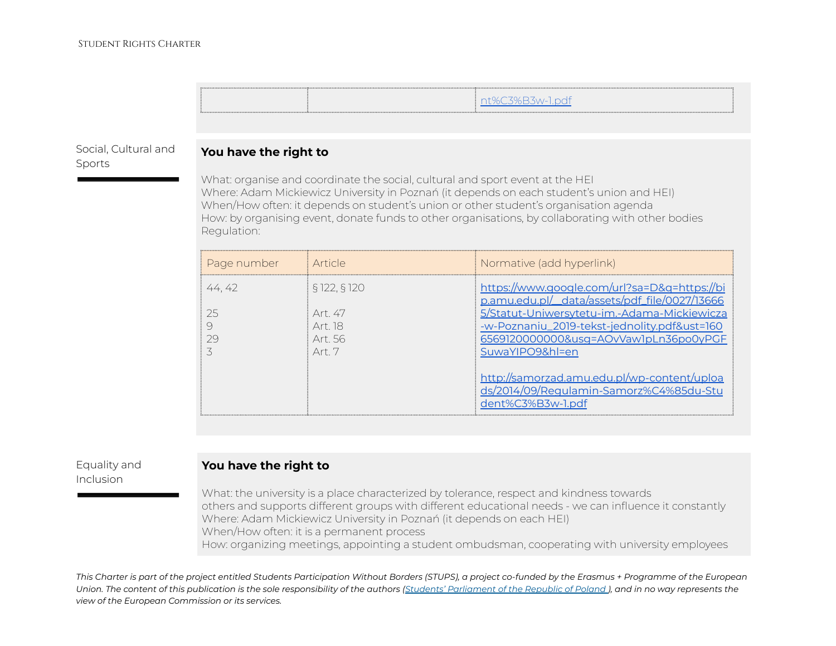#### Social, Cultural and Sports

## **You have the right to**

What: organise and coordinate the social, cultural and sport event at the HEI Where: Adam Mickiewicz University in Poznań (it depends on each student's union and HEI) When/How often: it depends on student's union or other student's organisation agenda How: by organising event, donate funds to other organisations, by collaborating with other bodies Regulation:

| Page number | <i>i</i> Article                                             | Normative (add hyperlink)                                                                                                                                                                                                                                |
|-------------|--------------------------------------------------------------|----------------------------------------------------------------------------------------------------------------------------------------------------------------------------------------------------------------------------------------------------------|
| 44.42<br>25 | \$122.5120<br>Art 47<br>Art 18<br>Art 56<br>Art <sub>7</sub> | https://www.google.com/url?sa=D&g=https://bi<br>p.amu.edu.pl/_data/assets/pdf_file/0027/13666<br>5/Statut-Uniwersytetu-im.-Adama-Mickiewicza<br>-w-Poznaniu_2019-tekst-jednolity.pdf&ust=160<br>6569120000000&usq=AOvVaw1pLn36po0yPGF<br>SuwaYIPO9&hl=en |
|             |                                                              | http://samorzad.amu.edu.pl/wp-content/uploa<br>ds/2014/09/Regulamin-Samorz%C4%85du-Stu<br>dent%C3%B3w-1.pdf                                                                                                                                              |

### Equality and Inclusion

# **You have the right to**

What: the university is a place characterized by tolerance, respect and kindness towards others and supports different groups with different educational needs - we can influence it constantly Where: Adam Mickiewicz University in Poznań (it depends on each HEI) When/How often: it is a permanent process How: organizing meetings, appointing a student ombudsman, cooperating with university employees

This Charter is part of the project entitled Students Participation Without Borders (STUPS), a project co-funded by the Erasmus + Programme of the European Union. The content of this publication is the sole responsibility of the authors (Students' [Parliament](https://psrp.org.pl/) of the Republic of Poland), and in no way represents the *view of the European Commission or its services.*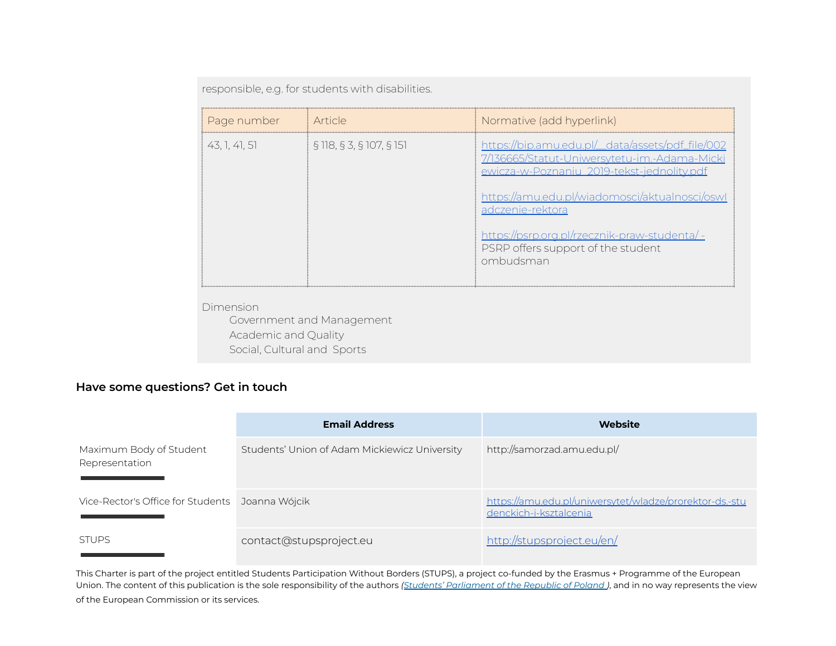responsible, e.g. for students with disabilities.

| Page number   | Article                  | Normative (add hyperlink)                                                                                                                                                                                                                                                                                                |
|---------------|--------------------------|--------------------------------------------------------------------------------------------------------------------------------------------------------------------------------------------------------------------------------------------------------------------------------------------------------------------------|
| 43, 1, 41, 51 | § 118, § 3, § 107, § 151 | https://bip.amu.edu.pl/_data/assets/pdf_file/002<br>7/136665/Statut-Uniwersytetu-im.-Adama-Micki<br>ewicza-w-Poznaniu_2019-tekst-jednolity.pdf<br>https://amu.edu.pl/wiadomosci/aktualnosci/oswl<br>adczenie-rektora<br>https://psrp.org.pl/rzecznik-praw-studenta/ -<br>PSRP offers support of the student<br>ombudsman |

Dimension

Government and Management Academic and Quality Social, Cultural and Sports

# **Have some questions? Get in touch**

|                                                 | <b>Email Address</b>                          | Website                                                                           |
|-------------------------------------------------|-----------------------------------------------|-----------------------------------------------------------------------------------|
| Maximum Body of Student<br>Representation       | Students' Union of Adam Mickiewicz University | http://samorzad.amu.edu.pl/                                                       |
| Vice-Rector's Office for Students Joanna Wójcik |                                               | https://amu.edu.pl/uniwersytet/wladze/prorektor-ds.-stu<br>denckich-i-ksztalcenia |
| <b>STUPS</b>                                    | contact@stupsproject.eu                       | http://stupsproject.eu/en/                                                        |

This Charter is part of the project entitled Students Participation Without Borders (STUPS), a project co-funded by the Erasmus + Programme of the European Union. The content of this publication is the sole responsibility of the authors *(Students' [Parliament](https://psrp.org.pl/) of the Republic of Poland )*, and in no way represents the view of the European Commission or its services.